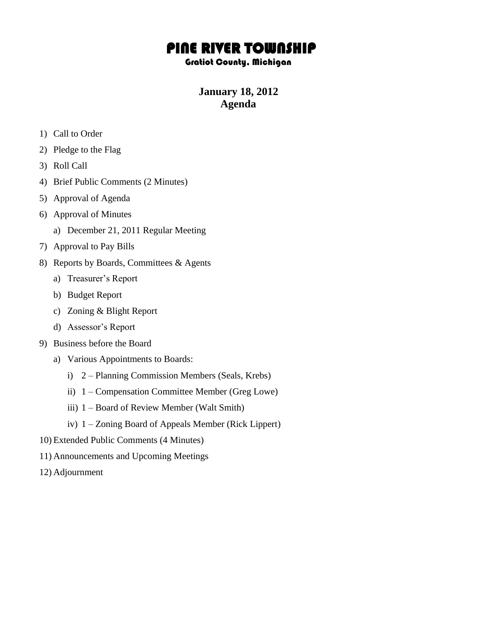## PINE RIVER TOWNSHIP

## Gratiot County, Michigan

## **January 18, 2012 Agenda**

- 1) Call to Order
- 2) Pledge to the Flag
- 3) Roll Call
- 4) Brief Public Comments (2 Minutes)
- 5) Approval of Agenda
- 6) Approval of Minutes
	- a) December 21, 2011 Regular Meeting
- 7) Approval to Pay Bills
- 8) Reports by Boards, Committees & Agents
	- a) Treasurer's Report
	- b) Budget Report
	- c) Zoning & Blight Report
	- d) Assessor's Report
- 9) Business before the Board
	- a) Various Appointments to Boards:
		- i) 2 Planning Commission Members (Seals, Krebs)
		- ii) 1 Compensation Committee Member (Greg Lowe)
		- iii) 1 Board of Review Member (Walt Smith)
		- iv) 1 Zoning Board of Appeals Member (Rick Lippert)
- 10) Extended Public Comments (4 Minutes)
- 11) Announcements and Upcoming Meetings
- 12) Adjournment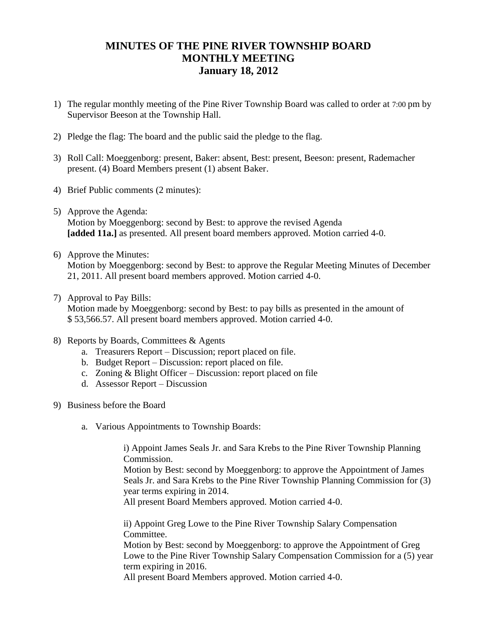## **MINUTES OF THE PINE RIVER TOWNSHIP BOARD MONTHLY MEETING January 18, 2012**

- 1) The regular monthly meeting of the Pine River Township Board was called to order at 7:00 pm by Supervisor Beeson at the Township Hall.
- 2) Pledge the flag: The board and the public said the pledge to the flag.
- 3) Roll Call: Moeggenborg: present, Baker: absent, Best: present, Beeson: present, Rademacher present. (4) Board Members present (1) absent Baker.
- 4) Brief Public comments (2 minutes):
- 5) Approve the Agenda: Motion by Moeggenborg: second by Best: to approve the revised Agenda **[added 11a.]** as presented. All present board members approved. Motion carried 4-0.
- 6) Approve the Minutes: Motion by Moeggenborg: second by Best: to approve the Regular Meeting Minutes of December 21, 2011. All present board members approved. Motion carried 4-0.
- 7) Approval to Pay Bills:

Motion made by Moeggenborg: second by Best: to pay bills as presented in the amount of \$ 53,566.57. All present board members approved. Motion carried 4-0.

- 8) Reports by Boards, Committees & Agents
	- a. Treasurers Report Discussion; report placed on file.
	- b. Budget Report Discussion: report placed on file.
	- c. Zoning & Blight Officer Discussion: report placed on file
	- d. Assessor Report Discussion
- 9) Business before the Board
	- a. Various Appointments to Township Boards:

i) Appoint James Seals Jr. and Sara Krebs to the Pine River Township Planning Commission.

Motion by Best: second by Moeggenborg: to approve the Appointment of James Seals Jr. and Sara Krebs to the Pine River Township Planning Commission for (3) year terms expiring in 2014.

All present Board Members approved. Motion carried 4-0.

ii) Appoint Greg Lowe to the Pine River Township Salary Compensation Committee.

Motion by Best: second by Moeggenborg: to approve the Appointment of Greg Lowe to the Pine River Township Salary Compensation Commission for a (5) year term expiring in 2016.

All present Board Members approved. Motion carried 4-0.